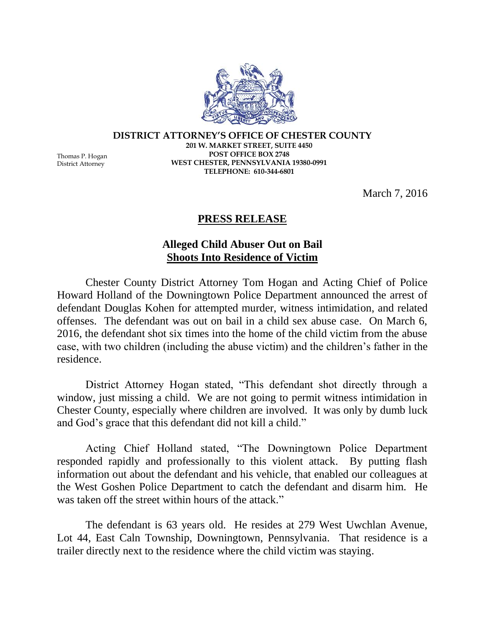**DISTRICT ATTORNEY'S OFFICE OF CHESTER COUNTY 201 W. MARKET STREET, SUITE 4450 POST OFFICE BOX 2748 WEST CHESTER, PENNSYLVANIA 19380-0991 TELEPHONE: 610-344-6801**

March 7, 2016

## **PRESS RELEASE**

## **Alleged Child Abuser Out on Bail Shoots Into Residence of Victim**

Chester County District Attorney Tom Hogan and Acting Chief of Police Howard Holland of the Downingtown Police Department announced the arrest of defendant Douglas Kohen for attempted murder, witness intimidation, and related offenses. The defendant was out on bail in a child sex abuse case. On March 6, 2016, the defendant shot six times into the home of the child victim from the abuse case, with two children (including the abuse victim) and the children's father in the residence.

District Attorney Hogan stated, "This defendant shot directly through a window, just missing a child. We are not going to permit witness intimidation in Chester County, especially where children are involved. It was only by dumb luck and God's grace that this defendant did not kill a child."

Acting Chief Holland stated, "The Downingtown Police Department responded rapidly and professionally to this violent attack. By putting flash information out about the defendant and his vehicle, that enabled our colleagues at the West Goshen Police Department to catch the defendant and disarm him. He was taken off the street within hours of the attack."

The defendant is 63 years old. He resides at 279 West Uwchlan Avenue, Lot 44, East Caln Township, Downingtown, Pennsylvania. That residence is a trailer directly next to the residence where the child victim was staying.

Thomas P. Hogan District Attorney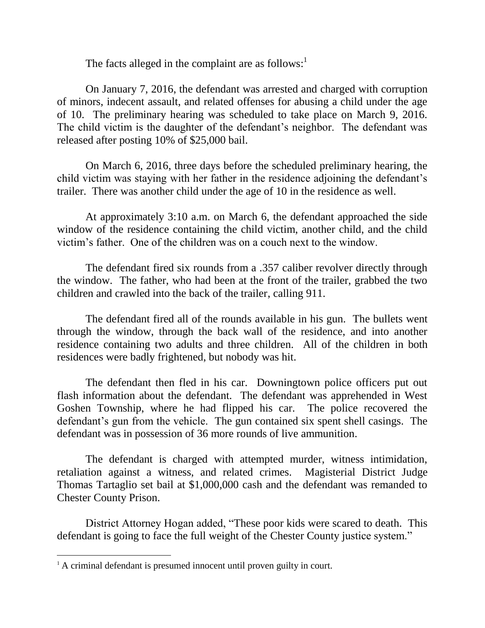The facts alleged in the complaint are as follows: $<sup>1</sup>$ </sup>

On January 7, 2016, the defendant was arrested and charged with corruption of minors, indecent assault, and related offenses for abusing a child under the age of 10. The preliminary hearing was scheduled to take place on March 9, 2016. The child victim is the daughter of the defendant's neighbor. The defendant was released after posting 10% of \$25,000 bail.

On March 6, 2016, three days before the scheduled preliminary hearing, the child victim was staying with her father in the residence adjoining the defendant's trailer. There was another child under the age of 10 in the residence as well.

At approximately 3:10 a.m. on March 6, the defendant approached the side window of the residence containing the child victim, another child, and the child victim's father. One of the children was on a couch next to the window.

The defendant fired six rounds from a .357 caliber revolver directly through the window. The father, who had been at the front of the trailer, grabbed the two children and crawled into the back of the trailer, calling 911.

The defendant fired all of the rounds available in his gun. The bullets went through the window, through the back wall of the residence, and into another residence containing two adults and three children. All of the children in both residences were badly frightened, but nobody was hit.

The defendant then fled in his car. Downingtown police officers put out flash information about the defendant. The defendant was apprehended in West Goshen Township, where he had flipped his car. The police recovered the defendant's gun from the vehicle. The gun contained six spent shell casings. The defendant was in possession of 36 more rounds of live ammunition.

The defendant is charged with attempted murder, witness intimidation, retaliation against a witness, and related crimes. Magisterial District Judge Thomas Tartaglio set bail at \$1,000,000 cash and the defendant was remanded to Chester County Prison.

District Attorney Hogan added, "These poor kids were scared to death. This defendant is going to face the full weight of the Chester County justice system."

 $\overline{a}$ 

<sup>&</sup>lt;sup>1</sup> A criminal defendant is presumed innocent until proven guilty in court.